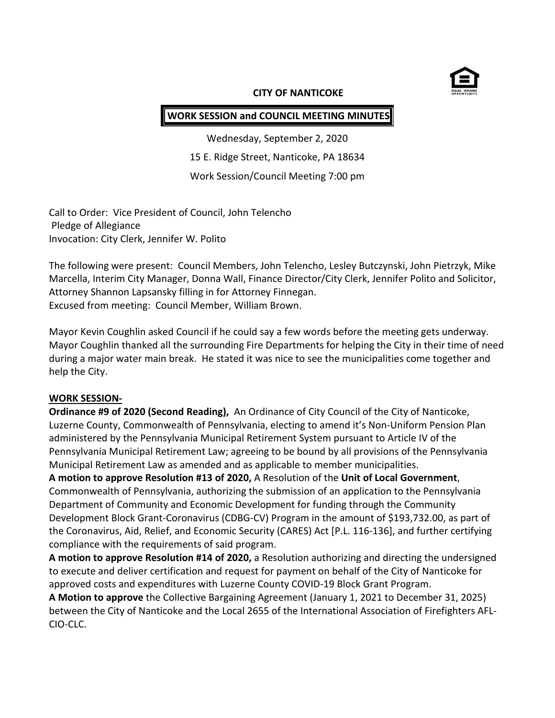

#### **CITY OF NANTICOKE**

## **WORK SESSION and COUNCIL MEETING MINUTES**

Wednesday, September 2, 2020 15 E. Ridge Street, Nanticoke, PA 18634 Work Session/Council Meeting 7:00 pm

Call to Order: Vice President of Council, John Telencho Pledge of Allegiance Invocation: City Clerk, Jennifer W. Polito

The following were present: Council Members, John Telencho, Lesley Butczynski, John Pietrzyk, Mike Marcella, Interim City Manager, Donna Wall, Finance Director/City Clerk, Jennifer Polito and Solicitor, Attorney Shannon Lapsansky filling in for Attorney Finnegan. Excused from meeting: Council Member, William Brown.

Mayor Kevin Coughlin asked Council if he could say a few words before the meeting gets underway. Mayor Coughlin thanked all the surrounding Fire Departments for helping the City in their time of need during a major water main break. He stated it was nice to see the municipalities come together and help the City.

### **WORK SESSION-**

**Ordinance #9 of 2020 (Second Reading),** An Ordinance of City Council of the City of Nanticoke, Luzerne County, Commonwealth of Pennsylvania, electing to amend it's Non-Uniform Pension Plan administered by the Pennsylvania Municipal Retirement System pursuant to Article IV of the Pennsylvania Municipal Retirement Law; agreeing to be bound by all provisions of the Pennsylvania Municipal Retirement Law as amended and as applicable to member municipalities.

**A motion to approve Resolution #13 of 2020,** A Resolution of the **Unit of Local Government**, Commonwealth of Pennsylvania, authorizing the submission of an application to the Pennsylvania Department of Community and Economic Development for funding through the Community Development Block Grant-Coronavirus (CDBG-CV) Program in the amount of \$193,732.00, as part of the Coronavirus, Aid, Relief, and Economic Security (CARES) Act [P.L. 116-136], and further certifying compliance with the requirements of said program.

**A motion to approve Resolution #14 of 2020,** a Resolution authorizing and directing the undersigned to execute and deliver certification and request for payment on behalf of the City of Nanticoke for approved costs and expenditures with Luzerne County COVID-19 Block Grant Program.

**A Motion to approve** the Collective Bargaining Agreement (January 1, 2021 to December 31, 2025) between the City of Nanticoke and the Local 2655 of the International Association of Firefighters AFL-CIO-CLC.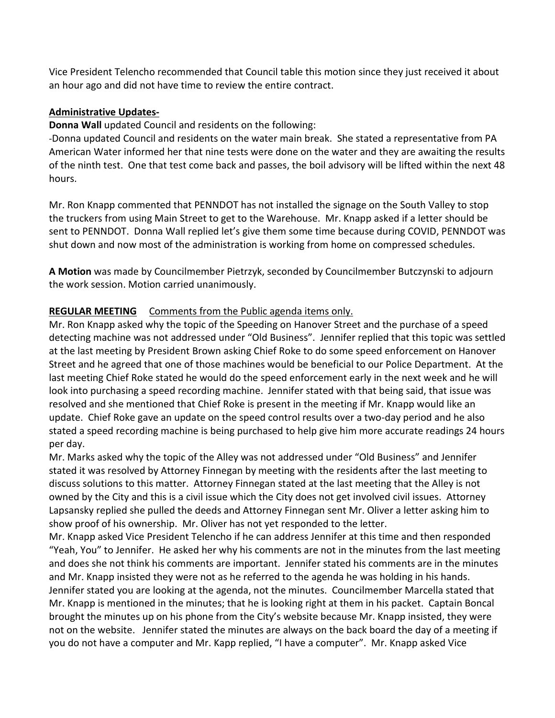Vice President Telencho recommended that Council table this motion since they just received it about an hour ago and did not have time to review the entire contract.

## **Administrative Updates-**

**Donna Wall** updated Council and residents on the following:

-Donna updated Council and residents on the water main break. She stated a representative from PA American Water informed her that nine tests were done on the water and they are awaiting the results of the ninth test. One that test come back and passes, the boil advisory will be lifted within the next 48 hours.

Mr. Ron Knapp commented that PENNDOT has not installed the signage on the South Valley to stop the truckers from using Main Street to get to the Warehouse. Mr. Knapp asked if a letter should be sent to PENNDOT. Donna Wall replied let's give them some time because during COVID, PENNDOT was shut down and now most of the administration is working from home on compressed schedules.

**A Motion** was made by Councilmember Pietrzyk, seconded by Councilmember Butczynski to adjourn the work session. Motion carried unanimously.

## **REGULAR MEETING** Comments from the Public agenda items only.

Mr. Ron Knapp asked why the topic of the Speeding on Hanover Street and the purchase of a speed detecting machine was not addressed under "Old Business". Jennifer replied that this topic was settled at the last meeting by President Brown asking Chief Roke to do some speed enforcement on Hanover Street and he agreed that one of those machines would be beneficial to our Police Department. At the last meeting Chief Roke stated he would do the speed enforcement early in the next week and he will look into purchasing a speed recording machine. Jennifer stated with that being said, that issue was resolved and she mentioned that Chief Roke is present in the meeting if Mr. Knapp would like an update. Chief Roke gave an update on the speed control results over a two-day period and he also stated a speed recording machine is being purchased to help give him more accurate readings 24 hours per day.

Mr. Marks asked why the topic of the Alley was not addressed under "Old Business" and Jennifer stated it was resolved by Attorney Finnegan by meeting with the residents after the last meeting to discuss solutions to this matter. Attorney Finnegan stated at the last meeting that the Alley is not owned by the City and this is a civil issue which the City does not get involved civil issues. Attorney Lapsansky replied she pulled the deeds and Attorney Finnegan sent Mr. Oliver a letter asking him to show proof of his ownership. Mr. Oliver has not yet responded to the letter.

Mr. Knapp asked Vice President Telencho if he can address Jennifer at this time and then responded "Yeah, You" to Jennifer. He asked her why his comments are not in the minutes from the last meeting and does she not think his comments are important. Jennifer stated his comments are in the minutes and Mr. Knapp insisted they were not as he referred to the agenda he was holding in his hands. Jennifer stated you are looking at the agenda, not the minutes. Councilmember Marcella stated that Mr. Knapp is mentioned in the minutes; that he is looking right at them in his packet. Captain Boncal brought the minutes up on his phone from the City's website because Mr. Knapp insisted, they were not on the website. Jennifer stated the minutes are always on the back board the day of a meeting if you do not have a computer and Mr. Kapp replied, "I have a computer". Mr. Knapp asked Vice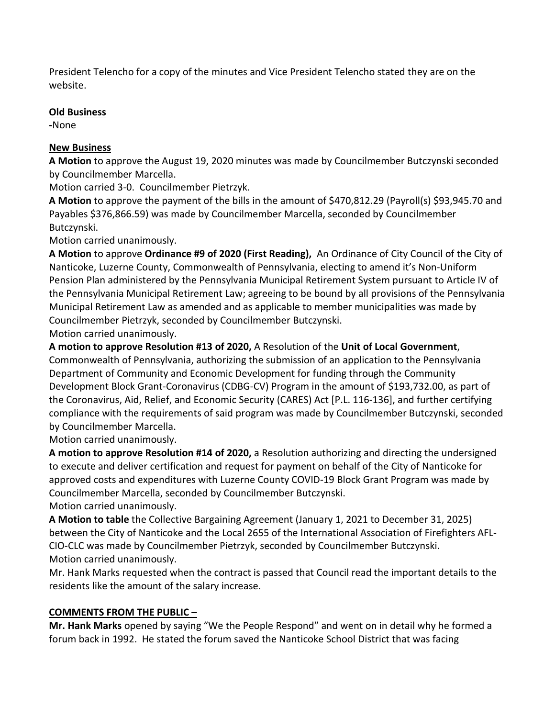President Telencho for a copy of the minutes and Vice President Telencho stated they are on the website.

## **Old Business**

**-**None

# **New Business**

**A Motion** to approve the August 19, 2020 minutes was made by Councilmember Butczynski seconded by Councilmember Marcella.

Motion carried 3-0. Councilmember Pietrzyk.

**A Motion** to approve the payment of the bills in the amount of \$470,812.29 (Payroll(s) \$93,945.70 and Payables \$376,866.59) was made by Councilmember Marcella, seconded by Councilmember Butczynski.

Motion carried unanimously.

**A Motion** to approve **Ordinance #9 of 2020 (First Reading),** An Ordinance of City Council of the City of Nanticoke, Luzerne County, Commonwealth of Pennsylvania, electing to amend it's Non-Uniform Pension Plan administered by the Pennsylvania Municipal Retirement System pursuant to Article IV of the Pennsylvania Municipal Retirement Law; agreeing to be bound by all provisions of the Pennsylvania Municipal Retirement Law as amended and as applicable to member municipalities was made by Councilmember Pietrzyk, seconded by Councilmember Butczynski.

Motion carried unanimously.

**A motion to approve Resolution #13 of 2020,** A Resolution of the **Unit of Local Government**,

Commonwealth of Pennsylvania, authorizing the submission of an application to the Pennsylvania Department of Community and Economic Development for funding through the Community Development Block Grant-Coronavirus (CDBG-CV) Program in the amount of \$193,732.00, as part of the Coronavirus, Aid, Relief, and Economic Security (CARES) Act [P.L. 116-136], and further certifying compliance with the requirements of said program was made by Councilmember Butczynski, seconded by Councilmember Marcella.

Motion carried unanimously.

**A motion to approve Resolution #14 of 2020,** a Resolution authorizing and directing the undersigned to execute and deliver certification and request for payment on behalf of the City of Nanticoke for approved costs and expenditures with Luzerne County COVID-19 Block Grant Program was made by Councilmember Marcella, seconded by Councilmember Butczynski.

Motion carried unanimously.

**A Motion to table** the Collective Bargaining Agreement (January 1, 2021 to December 31, 2025) between the City of Nanticoke and the Local 2655 of the International Association of Firefighters AFL-CIO-CLC was made by Councilmember Pietrzyk, seconded by Councilmember Butczynski. Motion carried unanimously.

Mr. Hank Marks requested when the contract is passed that Council read the important details to the residents like the amount of the salary increase.

## **COMMENTS FROM THE PUBLIC –**

**Mr. Hank Marks** opened by saying "We the People Respond" and went on in detail why he formed a forum back in 1992. He stated the forum saved the Nanticoke School District that was facing